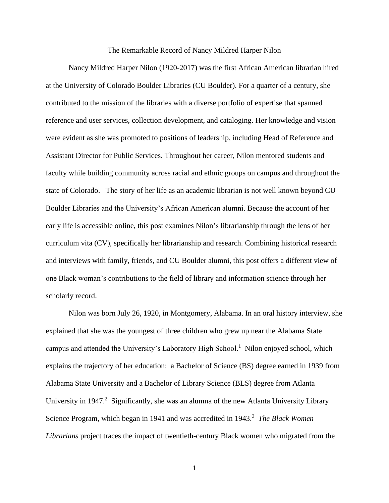#### The Remarkable Record of Nancy Mildred Harper Nilon

Nancy Mildred Harper Nilon (1920-2017) was the first African American librarian hired at the University of Colorado Boulder Libraries (CU Boulder). For a quarter of a century, she contributed to the mission of the libraries with a diverse portfolio of expertise that spanned reference and user services, collection development, and cataloging. Her knowledge and vision were evident as she was promoted to positions of leadership, including Head of Reference and Assistant Director for Public Services. Throughout her career, Nilon mentored students and faculty while building community across racial and ethnic groups on campus and throughout the state of Colorado. The story of her life as an academic librarian is not well known beyond CU Boulder Libraries and the University's African American alumni. Because the account of her early life is accessible online, this post examines Nilon's librarianship through the lens of her curriculum vita (CV), specifically her librarianship and research. Combining historical research and interviews with family, friends, and CU Boulder alumni, this post offers a different view of one Black woman's contributions to the field of library and information science through her scholarly record.

Nilon was born July 26, 1920, in Montgomery, Alabama. In an oral history interview, she explained that she was the youngest of three children who grew up near the Alabama State campus and attended the University's Laboratory High School.<sup>1</sup> Nilon enjoyed school, which explains the trajectory of her education: a Bachelor of Science (BS) degree earned in 1939 from Alabama State University and a Bachelor of Library Science (BLS) degree from Atlanta University in 1947.<sup>2</sup> Significantly, she was an alumna of the new Atlanta University Library Science Program, which began in 1941 and was accredited in 1943.<sup>3</sup> The Black Women *Librarians* project traces the impact of twentieth-century Black women who migrated from the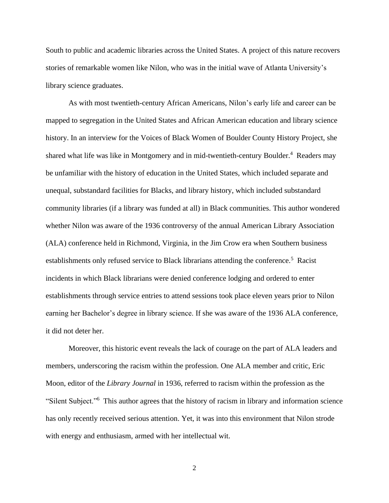South to public and academic libraries across the United States. A project of this nature recovers stories of remarkable women like Nilon, who was in the initial wave of Atlanta University's library science graduates.

As with most twentieth-century African Americans, Nilon's early life and career can be mapped to segregation in the United States and African American education and library science history. In an interview for the Voices of Black Women of Boulder County History Project, she shared what life was like in Montgomery and in mid-twentieth-century Boulder.<sup>4</sup> Readers may be unfamiliar with the history of education in the United States, which included separate and unequal, substandard facilities for Blacks, and library history, which included substandard community libraries (if a library was funded at all) in Black communities. This author wondered whether Nilon was aware of the 1936 controversy of the annual American Library Association (ALA) conference held in Richmond, Virginia, in the Jim Crow era when Southern business establishments only refused service to Black librarians attending the conference.<sup>5</sup> Racist incidents in which Black librarians were denied conference lodging and ordered to enter establishments through service entries to attend sessions took place eleven years prior to Nilon earning her Bachelor's degree in library science. If she was aware of the 1936 ALA conference, it did not deter her.

Moreover, this historic event reveals the lack of courage on the part of ALA leaders and members, underscoring the racism within the profession. One ALA member and critic, Eric Moon, editor of the *Library Journal* in 1936, referred to racism within the profession as the "Silent Subject."<sup>6</sup> This author agrees that the history of racism in library and information science has only recently received serious attention. Yet, it was into this environment that Nilon strode with energy and enthusiasm, armed with her intellectual wit.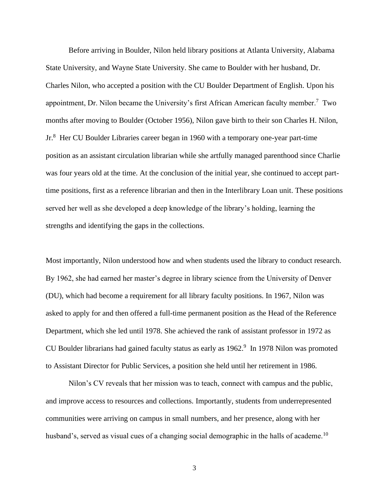Before arriving in Boulder, Nilon held library positions at Atlanta University, Alabama State University, and Wayne State University. She came to Boulder with her husband, Dr. Charles Nilon, who accepted a position with the CU Boulder Department of English. Upon his appointment, Dr. Nilon became the University's first African American faculty member.<sup>7</sup> Two months after moving to Boulder (October 1956), Nilon gave birth to their son Charles H. Nilon, Jr.<sup>8</sup> Her CU Boulder Libraries career began in 1960 with a temporary one-year part-time position as an assistant circulation librarian while she artfully managed parenthood since Charlie was four years old at the time. At the conclusion of the initial year, she continued to accept parttime positions, first as a reference librarian and then in the Interlibrary Loan unit. These positions served her well as she developed a deep knowledge of the library's holding, learning the strengths and identifying the gaps in the collections.

Most importantly, Nilon understood how and when students used the library to conduct research. By 1962, she had earned her master's degree in library science from the University of Denver (DU), which had become a requirement for all library faculty positions. In 1967, Nilon was asked to apply for and then offered a full-time permanent position as the Head of the Reference Department, which she led until 1978. She achieved the rank of assistant professor in 1972 as CU Boulder librarians had gained faculty status as early as  $1962<sup>9</sup>$  In 1978 Nilon was promoted to Assistant Director for Public Services, a position she held until her retirement in 1986.

Nilon's CV reveals that her mission was to teach, connect with campus and the public, and improve access to resources and collections. Importantly, students from underrepresented communities were arriving on campus in small numbers, and her presence, along with her husband's, served as visual cues of a changing social demographic in the halls of academe.<sup>10</sup>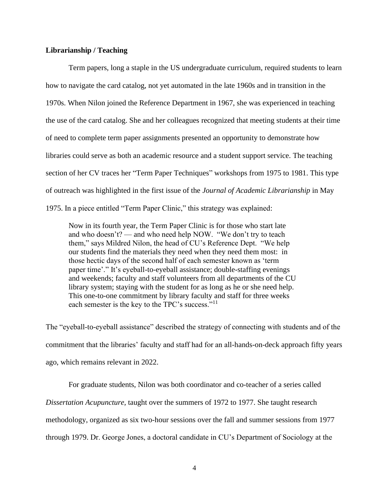## **Librarianship / Teaching**

Term papers, long a staple in the US undergraduate curriculum, required students to learn how to navigate the card catalog, not yet automated in the late 1960s and in transition in the 1970s. When Nilon joined the Reference Department in 1967, she was experienced in teaching the use of the card catalog. She and her colleagues recognized that meeting students at their time of need to complete term paper assignments presented an opportunity to demonstrate how libraries could serve as both an academic resource and a student support service. The teaching section of her CV traces her "Term Paper Techniques" workshops from 1975 to 1981. This type of outreach was highlighted in the first issue of the *Journal of Academic Librarianship* in May 1975. In a piece entitled "Term Paper Clinic," this strategy was explained:

Now in its fourth year, the Term Paper Clinic is for those who start late and who doesn't? — and who need help NOW. "We don't try to teach them," says Mildred Nilon, the head of CU's Reference Dept. "We help our students find the materials they need when they need them most: in those hectic days of the second half of each semester known as 'term paper time'." It's eyeball-to-eyeball assistance; double-staffing evenings and weekends; faculty and staff volunteers from all departments of the CU library system; staying with the student for as long as he or she need help. This one-to-one commitment by library faculty and staff for three weeks each semester is the key to the TPC's success."<sup>11</sup>

The "eyeball-to-eyeball assistance" described the strategy of connecting with students and of the commitment that the libraries' faculty and staff had for an all-hands-on-deck approach fifty years ago, which remains relevant in 2022.

For graduate students, Nilon was both coordinator and co-teacher of a series called *Dissertation Acupuncture,* taught over the summers of 1972 to 1977. She taught research methodology, organized as six two-hour sessions over the fall and summer sessions from 1977 through 1979. Dr. George Jones, a doctoral candidate in CU's Department of Sociology at the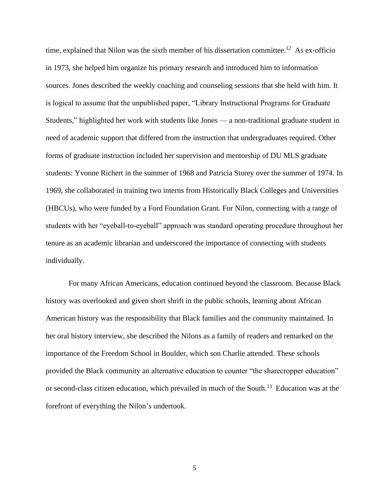time, explained that Nilon was the sixth member of his dissertation committee.<sup>12</sup> As ex-officio in 1973, she helped him organize his primary research and introduced him to information sources. Jones described the weekly coaching and counseling sessions that she held with him. It is logical to assume that the unpublished paper, "Library Instructional Programs for Graduate Students," highlighted her work with students like Jones — a non-traditional graduate student in need of academic support that differed from the instruction that undergraduates required. Other forms of graduate instruction included her supervision and mentorship of DU MLS graduate students: Yvonne Richert in the summer of 1968 and Patricia Storey over the summer of 1974. In 1969, she collaborated in training two interns from Historically Black Colleges and Universities (HBCUs), who were funded by a Ford Foundation Grant. For Nilon, connecting with a range of students with her "eyeball-to-eyeball" approach was standard operating procedure throughout her tenure as an academic librarian and underscored the importance of connecting with students individually.

For many African Americans, education continued beyond the classroom. Because Black history was overlooked and given short shrift in the public schools, learning about African American history was the responsibility that Black families and the community maintained. In her oral history interview, she described the Nilons as a family of readers and remarked on the importance of the Freedom School in Boulder, which son Charlie attended. These schools provided the Black community an alternative education to counter "the sharecropper education" or second-class citizen education, which prevailed in much of the South.<sup>13</sup> Education was at the forefront of everything the Nilon's undertook.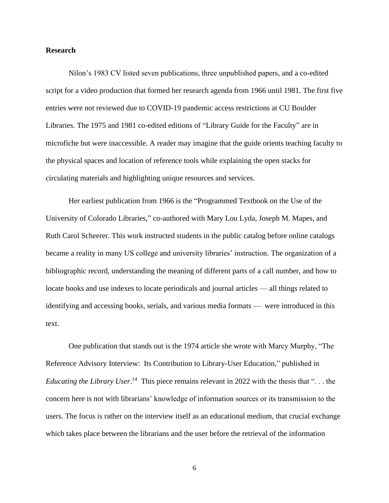## **Research**

Nilon's 1983 CV listed seven publications, three unpublished papers, and a co-edited script for a video production that formed her research agenda from 1966 until 1981. The first five entries were not reviewed due to COVID-19 pandemic access restrictions at CU Boulder Libraries. The 1975 and 1981 co-edited editions of ["Library Guide for the Faculty"](http://libraries.colorado.edu/record=b2811590~S3) are in microfiche but were inaccessible. A reader may imagine that the guide orients teaching faculty to the physical spaces and location of reference tools while explaining the open stacks for circulating materials and highlighting unique resources and services.

Her earliest publication from 1966 is the ["Programmed Textbook on the Use of the](https://files.eric.ed.gov/fulltext/ED050788.pdf)  [University of Colorado Libraries,"](https://files.eric.ed.gov/fulltext/ED050788.pdf) co-authored with Mary Lou Lyda, Joseph M. Mapes, and Ruth Carol Scheerer. This work instructed students in the public catalog before online catalogs became a reality in many US college and university libraries' instruction. The organization of a bibliographic record, understanding the meaning of different parts of a call number, and how to locate books and use indexes to locate periodicals and journal articles — all things related to identifying and accessing books, serials, and various media formats — were introduced in this text.

One publication that stands out is the 1974 article she wrote with Marcy Murphy, "The Reference Advisory Interview: Its Contribution to Library-User Education," published in *Educating the Library User*.<sup>14</sup> This piece remains relevant in 2022 with the thesis that "... the concern here is not with librarians' knowledge of information sources or its transmission to the users. The focus is rather on the interview itself as an educational medium, that crucial exchange which takes place between the librarians and the user before the retrieval of the information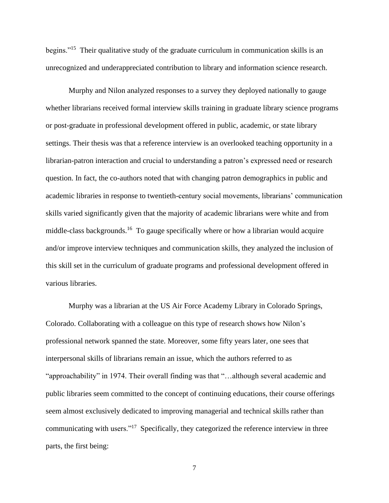begins."<sup>15</sup> Their qualitative study of the graduate curriculum in communication skills is an unrecognized and underappreciated contribution to library and information science research.

Murphy and Nilon analyzed responses to a survey they deployed nationally to gauge whether librarians received formal interview skills training in graduate library science programs or post-graduate in professional development offered in public, academic, or state library settings. Their thesis was that a reference interview is an overlooked teaching opportunity in a librarian-patron interaction and crucial to understanding a patron's expressed need or research question. In fact, the co-authors noted that with changing patron demographics in public and academic libraries in response to twentieth-century social movements, librarians' communication skills varied significantly given that the majority of academic librarians were white and from middle-class backgrounds.<sup>16</sup> To gauge specifically where or how a librarian would acquire and/or improve interview techniques and communication skills, they analyzed the inclusion of this skill set in the curriculum of graduate programs and professional development offered in various libraries.

Murphy was a librarian at the US Air Force Academy Library in Colorado Springs, Colorado. Collaborating with a colleague on this type of research shows how Nilon's professional network spanned the state. Moreover, some fifty years later, one sees that interpersonal skills of librarians remain an issue, which the authors referred to as "approachability" in 1974. Their overall finding was that "…although several academic and public libraries seem committed to the concept of continuing educations, their course offerings seem almost exclusively dedicated to improving managerial and technical skills rather than communicating with users."<sup>17</sup> Specifically, they categorized the reference interview in three parts, the first being: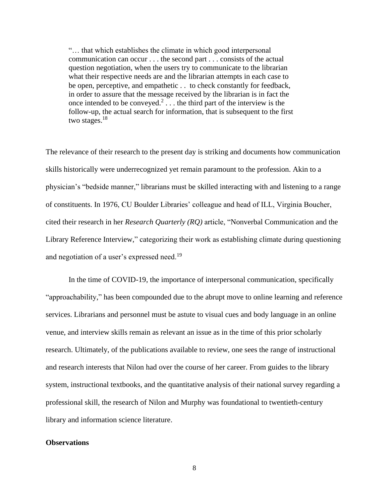"… that which establishes the climate in which good interpersonal communication can occur . . . the second part . . . consists of the actual question negotiation, when the users try to communicate to the librarian what their respective needs are and the librarian attempts in each case to be open, perceptive, and empathetic . . to check constantly for feedback, in order to assure that the message received by the librarian is in fact the once intended to be conveyed.<sup>2</sup>... the third part of the interview is the follow-up, the actual search for information, that is subsequent to the first two stages.<sup>18</sup>

The relevance of their research to the present day is striking and documents how communication skills historically were underrecognized yet remain paramount to the profession. Akin to a physician's "bedside manner," librarians must be skilled interacting with and listening to a range of constituents. In 1976, CU Boulder Libraries' colleague and head of ILL, Virginia Boucher, cited their research in her *Research Quarterly (RQ)* article, "Nonverbal Communication and the Library Reference Interview," categorizing their work as establishing climate during questioning and negotiation of a user's expressed need.<sup>19</sup>

In the time of COVID-19, the importance of interpersonal communication, specifically "approachability," has been compounded due to the abrupt move to online learning and reference services. Librarians and personnel must be astute to visual cues and body language in an online venue, and interview skills remain as relevant an issue as in the time of this prior scholarly research. Ultimately, of the publications available to review, one sees the range of instructional and research interests that Nilon had over the course of her career. From guides to the library system, instructional textbooks, and the quantitative analysis of their national survey regarding a professional skill, the research of Nilon and Murphy was foundational to twentieth-century library and information science literature.

### **Observations**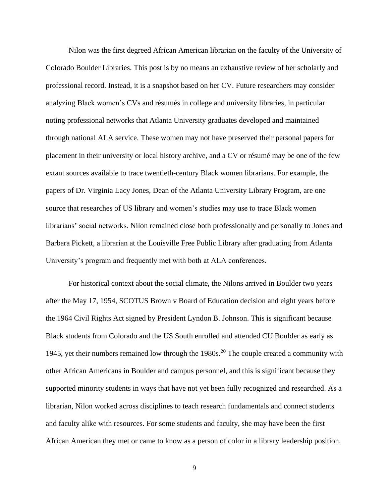Nilon was the first degreed African American librarian on the faculty of the University of Colorado Boulder Libraries. This post is by no means an exhaustive review of her scholarly and professional record. Instead, it is a snapshot based on her CV. Future researchers may consider analyzing Black women's CVs and résumés in college and university libraries, in particular noting professional networks that Atlanta University graduates developed and maintained through national ALA service. These women may not have preserved their personal papers for placement in their university or local history archive, and a CV or résumé may be one of the few extant sources available to trace twentieth-century Black women librarians. For example, the papers of [Dr. Virginia Lacy Jones,](http://findingaids.auctr.edu/repositories/2/resources/66) Dean of the Atlanta University Library Program, are one source that researches of US library and women's studies may use to trace Black women librarians' social networks. Nilon remained close both professionally and personally to Jones and Barbara Pickett, a librarian at the Louisville Free Public Library after graduating from Atlanta University's program and frequently met with both at ALA conferences.

For historical context about the social climate, the Nilons arrived in Boulder two years after the May 17, 1954, SCOTUS [Brown v Board of Education](https://www.uscourts.gov/educational-resources/educational-activities/history-brown-v-board-education-re-enactment) decision and eight years before the 1964 [Civil Rights Act](https://www.dol.gov/agencies/oasam/civil-rights-center/statutes/civil-rights-act-of-1964) signed by President Lyndon B. Johnson. This is significant because Black students from Colorado and the US South enrolled and attended CU Boulder as early as 1945, yet their numbers remained low through the  $1980s$ .<sup>20</sup> The couple created a community with other African Americans in Boulder and campus personnel, and this is significant because they supported minority students in ways that have not yet been fully recognized and researched. As a librarian, Nilon worked across disciplines to teach research fundamentals and connect students and faculty alike with resources. For some students and faculty, she may have been the first African American they met or came to know as a person of color in a library leadership position.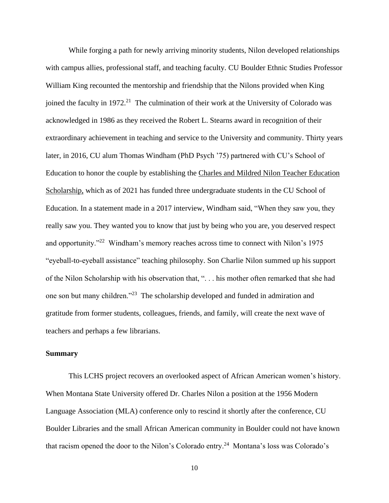While forging a path for newly arriving minority students, Nilon developed relationships with campus allies, professional staff, and teaching faculty. CU Boulder Ethnic Studies Professor William King recounted the mentorship and friendship that the Nilons provided when King joined the faculty in 1972.<sup>21</sup> The culmination of their work at the University of Colorado was acknowledged in 1986 as they received the [Robert L. Stearns](https://www.colorado.edu/homecoming/nominate) award in recognition of their extraordinary achievement in teaching and service to the University and community. Thirty years later, in 2016, CU alum Thomas Windham (PhD Psych '75) partnered with CU's School of Education to honor the couple by establishing the Charles and Mildred [Nilon Teacher Education](https://www.colorado.edu/education/2017/10/09/new-education-scholarship-continues-legacy-cu-boulder-luminaries-charles-and-mildred)  [Scholarship,](https://www.colorado.edu/education/2017/10/09/new-education-scholarship-continues-legacy-cu-boulder-luminaries-charles-and-mildred) which as of 2021 has funded three undergraduate students in the CU School of Education. In a statement made in a 2017 interview, Windham said, "When they saw you, they really saw you. They wanted you to know that just by being who you are, you deserved respect and opportunity."<sup>22</sup> Windham's memory reaches across time to connect with Nilon's 1975 "eyeball-to-eyeball assistance" teaching philosophy. Son Charlie Nilon summed up his support of the Nilon Scholarship with his observation that, ". . . his mother often remarked that she had one son but many children."<sup>23</sup> The scholarship developed and funded in admiration and gratitude from former students, colleagues, friends, and family, will create the next wave of teachers and perhaps a few librarians.

## **Summary**

This LCHS project recovers an overlooked aspect of African American women's history. When Montana State University offered Dr. Charles Nilon a position at the 1956 Modern Language Association (MLA) conference only to rescind it shortly after the conference, CU Boulder Libraries and the small African American community in Boulder could not have known that racism opened the door to the Nilon's Colorado entry.<sup>24</sup> Montana's loss was Colorado's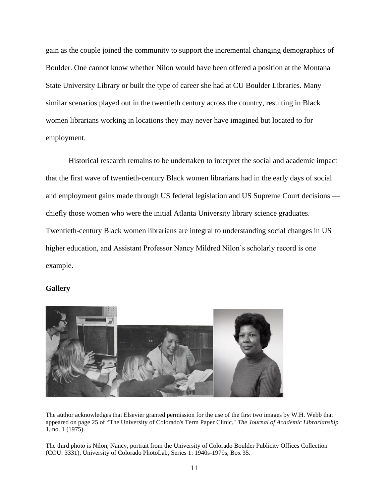gain as the couple joined the community to support the incremental changing demographics of Boulder. One cannot know whether Nilon would have been offered a position at the Montana State University Library or built the type of career she had at CU Boulder Libraries. Many similar scenarios played out in the twentieth century across the country, resulting in Black women librarians working in locations they may never have imagined but located to for employment.

Historical research remains to be undertaken to interpret the social and academic impact that the first wave of twentieth-century Black women librarians had in the early days of social and employment gains made through US federal legislation and US Supreme Court decisions chiefly those women who were the initial Atlanta University library science graduates. Twentieth-century Black women librarians are integral to understanding social changes in US higher education, and Assistant Professor Nancy Mildred Nilon's scholarly record is one example.

## **Gallery**



The author acknowledges that Elsevier granted permission for the use of the first two images by W.H. Webb that appeared on page 25 of "The University of Colorado's Term Paper Clinic." *The Journal of Academic Librarianship* 1, no. 1 (1975).

The third photo is Nilon, Nancy, portrait from the University of Colorado Boulder Publicity Offices Collection (COU: 3331), University of Colorado PhotoLab, Series 1: 1940s-1979s, Box 35.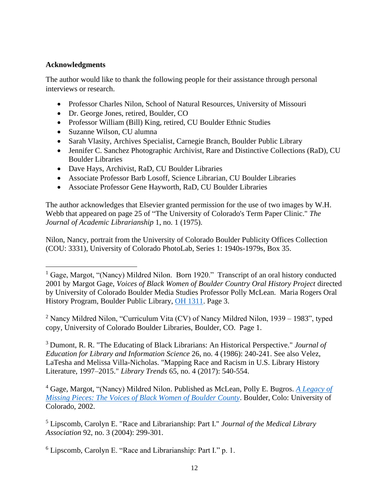# **Acknowledgments**

The author would like to thank the following people for their assistance through personal interviews or research.

- Professor Charles Nilon, School of Natural Resources, University of Missouri
- Dr. George Jones, retired, Boulder, CO
- Professor William (Bill) King, retired, CU Boulder Ethnic Studies
- Suzanne Wilson, CU alumna
- Sarah Vlasity, Archives Specialist, Carnegie Branch, Boulder Public Library
- Jennifer C. Sanchez Photographic Archivist, Rare and Distinctive Collections (RaD), CU Boulder Libraries
- Dave Hays, Archivist, RaD, CU Boulder Libraries
- Associate Professor Barb Losoff, Science Librarian, CU Boulder Libraries
- Associate Professor Gene Hayworth, RaD, CU Boulder Libraries

The author acknowledges that Elsevier granted permission for the use of two images by W.H. Webb that appeared on page 25 of "The University of Colorado's Term Paper Clinic." *The Journal of Academic Librarianship* 1, no. 1 (1975).

Nilon, Nancy, portrait from the University of Colorado Boulder Publicity Offices Collection (COU: 3331), University of Colorado PhotoLab, Series 1: 1940s-1979s, Box 35.

<sup>2</sup> Nancy Mildred Nilon, "Curriculum Vita (CV) of Nancy Mildred Nilon, 1939 – 1983", typed copy, University of Colorado Boulder Libraries, Boulder, CO. Page 1.

<sup>3</sup> Dumont, R. R. "The Educating of Black Librarians: An Historical Perspective." *Journal of Education for Library and Information Science* 26, no. 4 (1986): 240-241. See also Velez, LaTesha and Melissa Villa-Nicholas. "Mapping Race and Racism in U.S. Library History Literature, 1997–2015." *Library Trends* 65, no. 4 (2017): 540-554.

<sup>4</sup> Gage, Margot, "(Nancy) Mildred Nilon. Published as McLean, Polly E. Bugros. *[A Legacy of](http://libraries.colorado.edu/record=b3479661~S3)  [Missing Pieces: The Voices of Black Women of Boulder County](http://libraries.colorado.edu/record=b3479661~S3)*. Boulder, Colo: University of Colorado, 2002.

<sup>5</sup> Lipscomb, Carolyn E. "Race and Librarianship: Part I." *Journal of the Medical Library Association* 92, no. 3 (2004): 299-301.

<sup>6</sup> Lipscomb, Carolyn E. "Race and Librarianship: Part I." p. 1.

<sup>&</sup>lt;sup>1</sup> Gage, Margot, "(Nancy) Mildred Nilon. Born 1920." Transcript of an oral history conducted 2001 by Margot Gage, *Voices of Black Women of Boulder Country Oral History Project* directed by University of Colorado Boulder Media Studies Professor Polly McLean. Maria Rogers Oral History Program, Boulder Public Library, [OH 1311.](https://oralhistory.boulderlibrary.org/transcript/oh1311t.pdf) Page 3.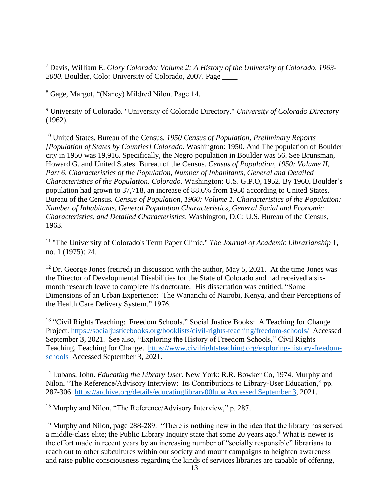<sup>7</sup> Davis, William E. *Glory Colorado: Volume 2: A History of the University of Colorado, 1963- 2000*. Boulder, Colo: University of Colorado, 2007. Page \_\_\_\_

<sup>8</sup> Gage, Margot, "(Nancy) Mildred Nilon. Page 14.

<sup>9</sup> University of Colorado. "University of Colorado Directory." *University of Colorado Directory* (1962).

<sup>10</sup> United States. Bureau of the Census. *1950 Census of Population, Preliminary Reports [Population of States by Counties] Colorado*. Washington: 1950. And The population of Boulder city in 1950 was 19,916. Specifically, the Negro population in Boulder was 56. See Brunsman, Howard G. and United States. Bureau of the Census*. Census of Population, 1950: Volume II, Part 6, Characteristics of the Population, Number of Inhabitants, General and Detailed Characteristics of the Population. Colorado*. Washington: U.S. G.P.O, 1952. By 1960, Boulder's population had grown to 37,718, an increase of 88.6% from 1950 according to United States. Bureau of the Census*. Census of Population, 1960: Volume 1. Characteristics of the Population: Number of Inhabitants, General Population Characteristics, General Social and Economic Characteristics, and Detailed Characteristics*. Washington, D.C: U.S. Bureau of the Census, 1963.

<sup>11</sup> "The University of Colorado's Term Paper Clinic." *The Journal of Academic Librarianship* 1, no. 1 (1975): 24.

 $12$  Dr. George Jones (retired) in discussion with the author, May 5, 2021. At the time Jones was the Director of Developmental Disabilities for the State of Colorado and had received a sixmonth research leave to complete his doctorate. His dissertation was entitled, "Some Dimensions of an Urban Experience: The Wananchi of Nairobi, Kenya, and their Perceptions of the Health Care Delivery System." 1976.

<sup>13</sup> "Civil Rights Teaching: Freedom Schools," Social Justice Books: A Teaching for Change Project.<https://socialjusticebooks.org/booklists/civil-rights-teaching/freedom-schools/>Accessed September 3, 2021. See also, "Exploring the History of Freedom Schools," Civil Rights Teaching, Teaching for Change. [https://www.civilrightsteaching.org/exploring-history-freedom](https://www.civilrightsteaching.org/exploring-history-freedom-schools)[schools](https://www.civilrightsteaching.org/exploring-history-freedom-schools) Accessed September 3, 2021.

<sup>14</sup> Lubans, John. *Educating the Library User*. New York: R.R. Bowker Co, 1974. Murphy and Nilon, "The Reference/Advisory Interview: Its Contributions to Library-User Education," pp. 287-306. [https://archive.org/details/educatinglibrary00luba Accessed September 3,](https://archive.org/details/educatinglibrary00luba%20Accessed%20September%203) 2021.

<sup>15</sup> Murphy and Nilon, "The Reference/Advisory Interview," p. 287.

<sup>16</sup> Murphy and Nilon, page 288-289. "There is nothing new in the idea that the library has served a middle-class elite; the Public Library Inquiry state that some 20 years ago.<sup>4</sup> What is newer is the effort made in recent years by an increasing number of "socially responsible" librarians to reach out to other subcultures within our society and mount campaigns to heighten awareness and raise public consciousness regarding the kinds of services libraries are capable of offering,